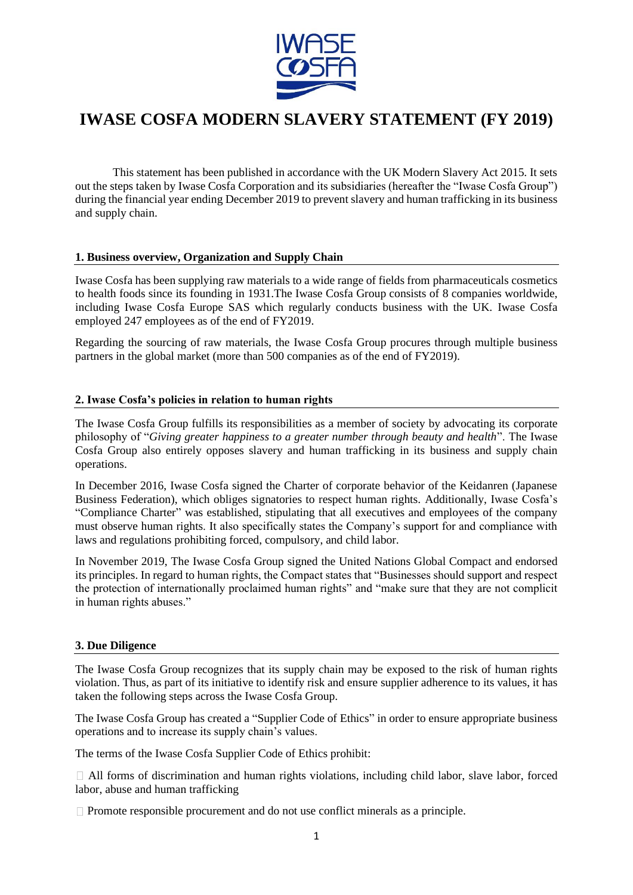

# **IWASE COSFA MODERN SLAVERY STATEMENT (FY 2019)**

This statement has been published in accordance with the UK Modern Slavery Act 2015. It sets out the steps taken by Iwase Cosfa Corporation and its subsidiaries (hereafter the "Iwase Cosfa Group") during the financial year ending December 2019 to prevent slavery and human trafficking in its business and supply chain.

# **1. Business overview, Organization and Supply Chain**

Iwase Cosfa has been supplying raw materials to a wide range of fields from pharmaceuticals cosmetics to health foods since its founding in 1931.The Iwase Cosfa Group consists of 8 companies worldwide, including Iwase Cosfa Europe SAS which regularly conducts business with the UK. Iwase Cosfa employed 247 employees as of the end of FY2019.

Regarding the sourcing of raw materials, the Iwase Cosfa Group procures through multiple business partners in the global market (more than 500 companies as of the end of FY2019).

# **2. Iwase Cosfa's policies in relation to human rights**

The Iwase Cosfa Group fulfills its responsibilities as a member of society by advocating its corporate philosophy of "*Giving greater happiness to a greater number through beauty and health*". The Iwase Cosfa Group also entirely opposes slavery and human trafficking in its business and supply chain operations.

In December 2016, Iwase Cosfa signed the Charter of corporate behavior of the Keidanren (Japanese Business Federation), which obliges signatories to respect human rights. Additionally, Iwase Cosfa's "Compliance Charter" was established, stipulating that all executives and employees of the company must observe human rights. It also specifically states the Company's support for and compliance with laws and regulations prohibiting forced, compulsory, and child labor.

In November 2019, The Iwase Cosfa Group signed the United Nations Global Compact and endorsed its principles. In regard to human rights, the Compact states that "Businesses should support and respect the protection of internationally proclaimed human rights" and "make sure that they are not complicit in human rights abuses."

#### **3. Due Diligence**

The Iwase Cosfa Group recognizes that its supply chain may be exposed to the risk of human rights violation. Thus, as part of its initiative to identify risk and ensure supplier adherence to its values, it has taken the following steps across the Iwase Cosfa Group.

The Iwase Cosfa Group has created a "Supplier Code of Ethics" in order to ensure appropriate business operations and to increase its supply chain's values.

The terms of the Iwase Cosfa Supplier Code of Ethics prohibit:

 $\Box$  All forms of discrimination and human rights violations, including child labor, slave labor, forced labor, abuse and human trafficking

 $\Box$  Promote responsible procurement and do not use conflict minerals as a principle.